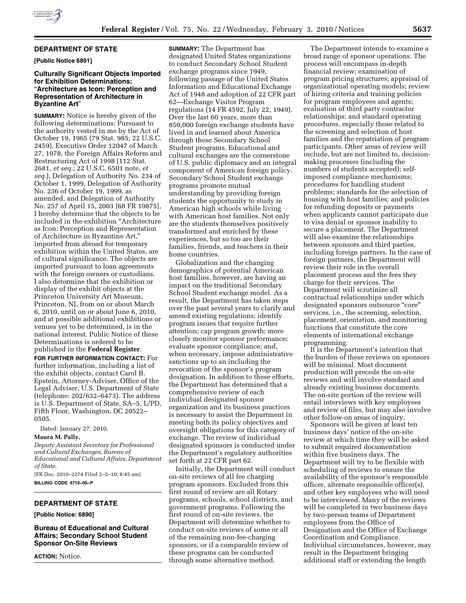

## **DEPARTMENT OF STATE**

**[Public Notice 6891]** 

## **Culturally Significant Objects Imported for Exhibition Determinations:**  ''**Architecture as Icon: Perception and Representation of Architecture in Byzantine Art**''

**SUMMARY:** Notice is hereby given of the following determinations: Pursuant to the authority vested in me by the Act of October 19, 1965 (79 Stat. 985; 22 U.S.C. 2459), Executive Order 12047 of March 27, 1978, the Foreign Affairs Reform and Restructuring Act of 1998 (112 Stat. 2681, *et seq.*; 22 U.S.C. 6501 note, *et seq.*), Delegation of Authority No. 234 of October 1, 1999, Delegation of Authority No. 236 of October 19, 1999, as amended, and Delegation of Authority No. 257 of April 15, 2003 [68 FR 19875], I hereby determine that the objects to be included in the exhibition ''Architecture as Icon: Perception and Representation of Architecture in Byzantine Art,'' imported from abroad for temporary exhibition within the United States, are of cultural significance. The objects are imported pursuant to loan agreements with the foreign owners or custodians. I also determine that the exhibition or display of the exhibit objects at the Princeton University Art Museum, Princeton, NJ, from on or about March 6, 2010, until on or about June 6, 2010, and at possible additional exhibitions or venues yet to be determined, is in the national interest. Public Notice of these Determinations is ordered to be published in the **Federal Register**.

**FOR FURTHER INFORMATION CONTACT:** For further information, including a list of the exhibit objects, contact Carol B. Epstein, Attorney-Adviser, Office of the Legal Adviser, U.S. Department of State (telephone: 202/632–6473). The address is U.S. Department of State, SA–5, L/PD, Fifth Floor, Washington, DC 20522– 0505.

Dated: January 27, 2010.

#### **Maura M. Pally,**

*Deputy Assistant Secretary for Professional and Cultural Exchanges, Bureau of Educational and Cultural Affairs, Department of State.* 

[FR Doc. 2010–2274 Filed 2–2–10; 8:45 am] **BILLING CODE 4710–05–P** 

## **DEPARTMENT OF STATE**

**[Public Notice: 6890]** 

**Bureau of Educational and Cultural Affairs; Secondary School Student Sponsor On-Site Reviews** 

**ACTION:** Notice.

**SUMMARY:** The Department has designated United States organizations to conduct Secondary School Student exchange programs since 1949, following passage of the United States Information and Educational Exchange Act of 1948 and adoption of 22 CFR part 62—Exchange Visitor Program regulations (14 FR 4592, July 22, 1949). Over the last 60 years, more than 850,000 foreign exchange students have lived in and learned about America through these Secondary School Student programs. Educational and cultural exchanges are the cornerstone of U.S. public diplomacy and an integral component of American foreign policy. Secondary School Student exchange programs promote mutual understanding by providing foreign students the opportunity to study in American high schools while living with American host families. Not only are the students themselves positively transformed and enriched by these experiences, but so too are their families, friends, and teachers in their home countries.

Globalization and the changing demographics of potential American host families, however, are having an impact on the traditional Secondary School Student exchange model. As a result, the Department has taken steps over the past several years to clarify and amend existing regulations; identify program issues that require further attention; cap program growth; more closely monitor sponsor performance; evaluate sponsor compliance; and, when necessary, impose administrative sanctions up to an including the revocation of the sponsor's program designation. In addition to these efforts, the Department has determined that a comprehensive review of each individual designated sponsor organization and its business practices is necessary to assist the Department in meeting both its policy objectives and oversight obligations for this category of exchange. The review of individual designated sponsors is conducted under the Department's regulatory authorities set forth at 22 CFR part 62.

Initially, the Department will conduct on-site reviews of all fee charging program sponsors. Excluded from this first round of review are all Rotary programs, schools, school districts, and government programs. Following the first round of on-site reviews, the Department will determine whether to conduct on-site reviews of some or all of the remaining non-fee-charging sponsors, or if a comparable review of these programs can be conducted through some alternative method.

The Department intends to examine a broad range of sponsor operations. The process will encompass in-depth financial review; examination of program pricing structures; appraisal of organizational operating models; review of hiring criteria and training policies for program employees and agents; evaluation of third party contractor relationships; and standard operating procedures, especially those related to the screening and selection of host families and the repatriation of program participants. Other areas of review will include, but are not limited to, decisionmaking processes (including the numbers of students accepted); selfimposed compliance mechanisms; procedures for handling student problems; standards for the selection of housing with host families; and policies for refunding deposits or payments when applicants cannot participate due to visa denial or sponsor inability to secure a placement. The Department will also examine the relationships between sponsors and third parties, including foreign partners. In the case of foreign partners, the Department will review their role in the overall placement process and the fees they charge for their services. The Department will scrutinize all contractual relationships under which designated sponsors outsource "core" services, i.e., the screening, selection, placement, orientation, and monitoring functions that constitute the core elements of international exchange programming.

It is the Department's intention that the burden of these reviews on sponsors will be minimal. Most document production will precede the on-site reviews and will involve standard and already existing business documents. The on-site portion of the review will entail interviews with key employees and review of files, but may also involve other follow-on areas of inquiry.

Sponsors will be given at least ten business days' notice of the on-site review at which time they will be asked to submit required documentation within five business days. The Department will try to be flexible with scheduling of reviews to ensure the availability of the sponsor's responsible officer, alternate responsible officer(s), and other key employees who will need to be interviewed. Many of the reviews will be completed in two business days by two-person teams of Department employees from the Office of Designation and the Office of Exchange Coordination and Compliance. Individual circumstances, however, may result in the Department bringing additional staff or extending the length